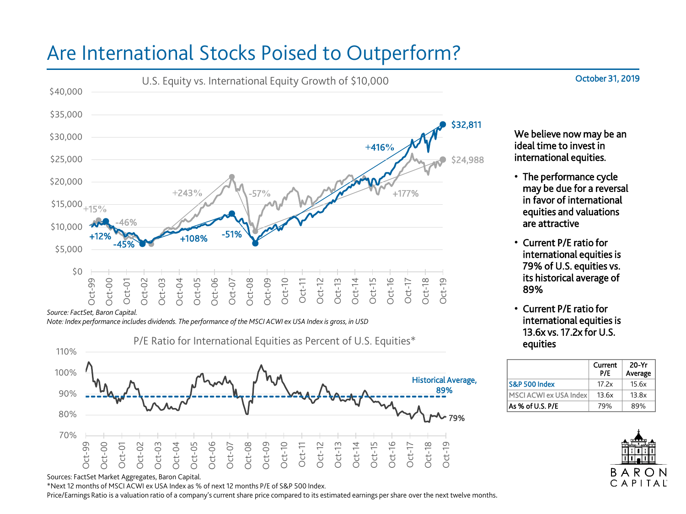## Are International Stocks Poised to Outperform?



*Source: FactSet, Baron Capital.*

*Note: Index performance includes dividends. The performance of the MSCI ACWI ex USA Index is gross, in USD*



Sources: FactSet Market Aggregates, Baron Capital.

\*Next 12 months of MSCI ACWI ex USA Index as % of next 12 months P/E of S&P 500 Index.

Price/Earnings Ratio is a valuation ratio of a company's current share price compared to its estimated earnings per share over the next twelve months.

We believe now may be an ideal time to invest in international equities.

- The performance cycle may be due for a reversal in favor of international equities and valuations are attractive
- Current P/E ratio for international equities is 79% of U.S. equities vs. its historical average of 89%
- Current P/E ratio for international equities is 13.6x vs. 17.2x for U.S. equities

|                                | Current<br>P/E | $20-Yr$<br>Average |
|--------------------------------|----------------|--------------------|
| S&P 500 Index                  | 17.2x          | 15.6x              |
| <b>IMSCI ACWI ex USA Index</b> | 13.6x          | 13.8x              |
| As % of U.S. P/E               | 79%            | 89%                |



October 31, 2019